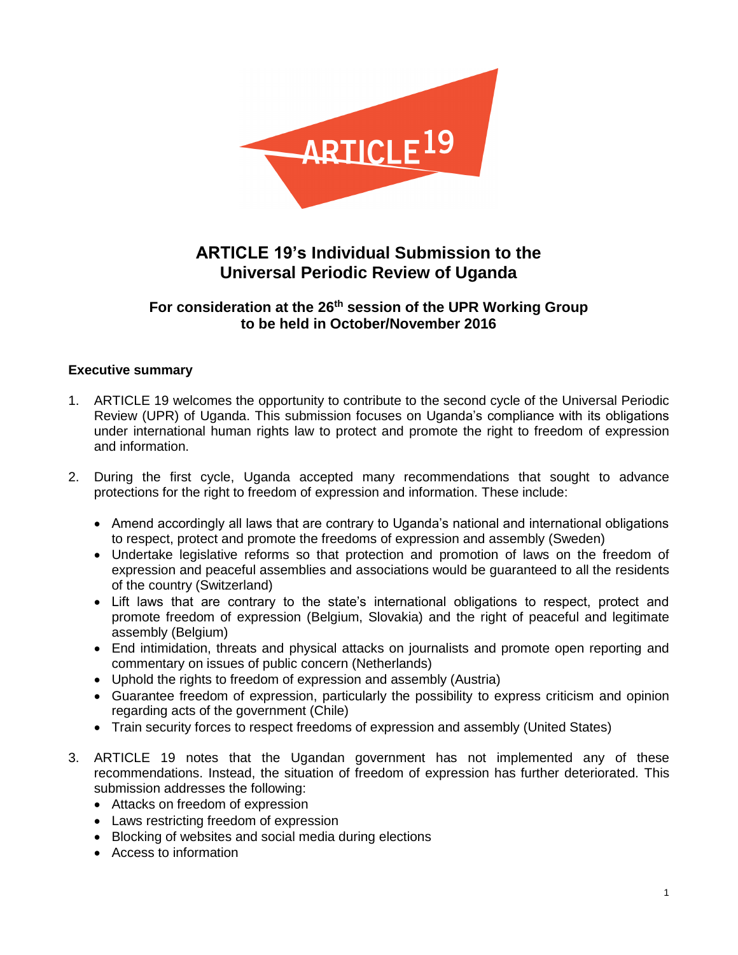

# **ARTICLE 19's Individual Submission to the Universal Periodic Review of Uganda**

# **For consideration at the 26th session of the UPR Working Group to be held in October/November 2016**

## **Executive summary**

- 1. ARTICLE 19 welcomes the opportunity to contribute to the second cycle of the Universal Periodic Review (UPR) of Uganda. This submission focuses on Uganda's compliance with its obligations under international human rights law to protect and promote the right to freedom of expression and information.
- 2. During the first cycle, Uganda accepted many recommendations that sought to advance protections for the right to freedom of expression and information. These include:
	- Amend accordingly all laws that are contrary to Uganda's national and international obligations to respect, protect and promote the freedoms of expression and assembly (Sweden)
	- Undertake legislative reforms so that protection and promotion of laws on the freedom of expression and peaceful assemblies and associations would be guaranteed to all the residents of the country (Switzerland)
	- Lift laws that are contrary to the state's international obligations to respect, protect and promote freedom of expression (Belgium, Slovakia) and the right of peaceful and legitimate assembly (Belgium)
	- End intimidation, threats and physical attacks on journalists and promote open reporting and commentary on issues of public concern (Netherlands)
	- Uphold the rights to freedom of expression and assembly (Austria)
	- Guarantee freedom of expression, particularly the possibility to express criticism and opinion regarding acts of the government (Chile)
	- Train security forces to respect freedoms of expression and assembly (United States)
- 3. ARTICLE 19 notes that the Ugandan government has not implemented any of these recommendations. Instead, the situation of freedom of expression has further deteriorated. This submission addresses the following:
	- Attacks on freedom of expression
	- Laws restricting freedom of expression
	- Blocking of websites and social media during elections
	- Access to information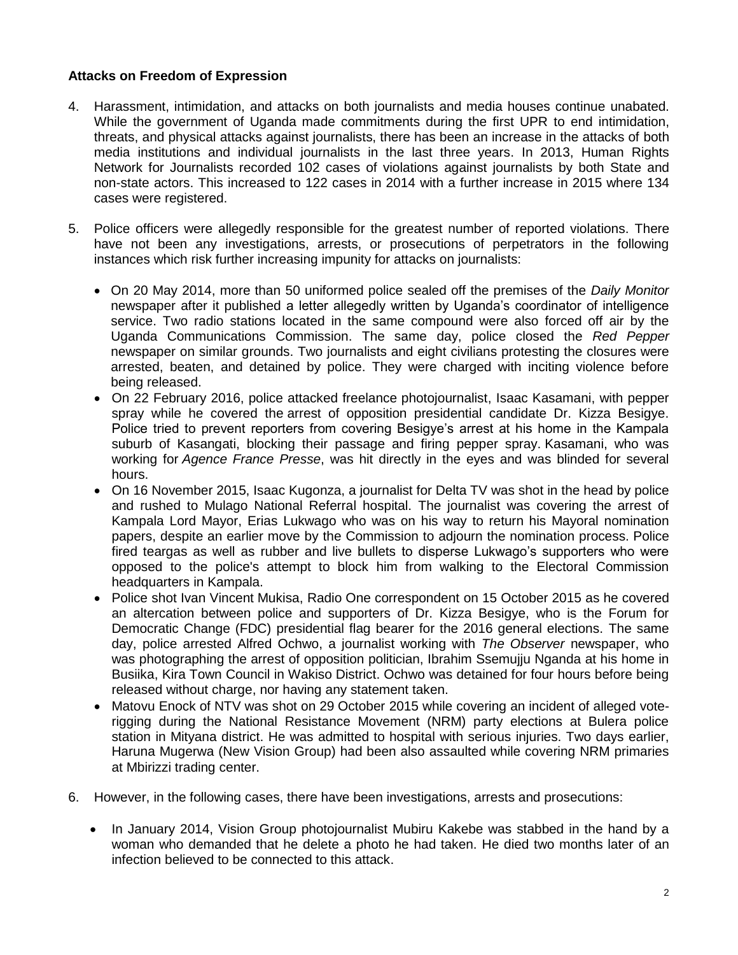## **Attacks on Freedom of Expression**

- 4. Harassment, intimidation, and attacks on both journalists and media houses continue unabated. While the government of Uganda made commitments during the first UPR to end intimidation, threats, and physical attacks against journalists, there has been an increase in the attacks of both media institutions and individual journalists in the last three years. In 2013, Human Rights Network for Journalists recorded 102 cases of violations against journalists by both State and non-state actors. This increased to 122 cases in 2014 with a further increase in 2015 where 134 cases were registered.
- 5. Police officers were allegedly responsible for the greatest number of reported violations. There have not been any investigations, arrests, or prosecutions of perpetrators in the following instances which risk further increasing impunity for attacks on journalists:
	- On 20 May 2014, more than 50 uniformed police sealed off the premises of the *Daily Monitor* newspaper after it published a letter allegedly written by Uganda's coordinator of intelligence service. Two radio stations located in the same compound were also forced off air by the Uganda Communications Commission. The same day, police closed the *Red Pepper* newspaper on similar grounds. Two journalists and eight civilians protesting the closures were arrested, beaten, and detained by police. They were charged with inciting violence before being released.
	- On 22 February 2016, police attacked freelance photojournalist, Isaac Kasamani, with pepper spray while he covered the arrest of opposition presidential candidate Dr. Kizza Besigye. Police tried to prevent reporters from covering Besigye's arrest at his home in the Kampala suburb of Kasangati, blocking their passage and firing pepper spray. Kasamani, who was working for *Agence France Presse*, was hit directly in the eyes and was blinded for several hours.
	- On 16 November 2015, Isaac Kugonza, a journalist for Delta TV was shot in the head by police and rushed to Mulago National Referral hospital. The journalist was covering the arrest of Kampala Lord Mayor, Erias Lukwago who was on his way to return his Mayoral nomination papers, despite an earlier move by the Commission to adjourn the nomination process. Police fired teargas as well as rubber and live bullets to disperse Lukwago's supporters who were opposed to the police's attempt to block him from walking to the Electoral Commission headquarters in Kampala.
	- Police shot Ivan Vincent Mukisa, Radio One correspondent on 15 October 2015 as he covered an altercation between police and supporters of Dr. Kizza Besigye, who is the Forum for Democratic Change (FDC) presidential flag bearer for the 2016 general elections. The same day, police arrested Alfred Ochwo, a journalist working with *The Observer* newspaper, who was photographing the arrest of opposition politician, Ibrahim Ssemujju Nganda at his home in Busiika, Kira Town Council in Wakiso District. Ochwo was detained for four hours before being released without charge, nor having any statement taken.
	- Matovu Enock of NTV was shot on 29 October 2015 while covering an incident of alleged voterigging during the National Resistance Movement (NRM) party elections at Bulera police station in Mityana district. He was admitted to hospital with serious injuries. Two days earlier, Haruna Mugerwa (New Vision Group) had been also assaulted while covering NRM primaries at Mbirizzi trading center.
- 6. However, in the following cases, there have been investigations, arrests and prosecutions:
	- In January 2014, Vision Group photojournalist Mubiru Kakebe was stabbed in the hand by a woman who demanded that he delete a photo he had taken. He died two months later of an infection believed to be connected to this attack.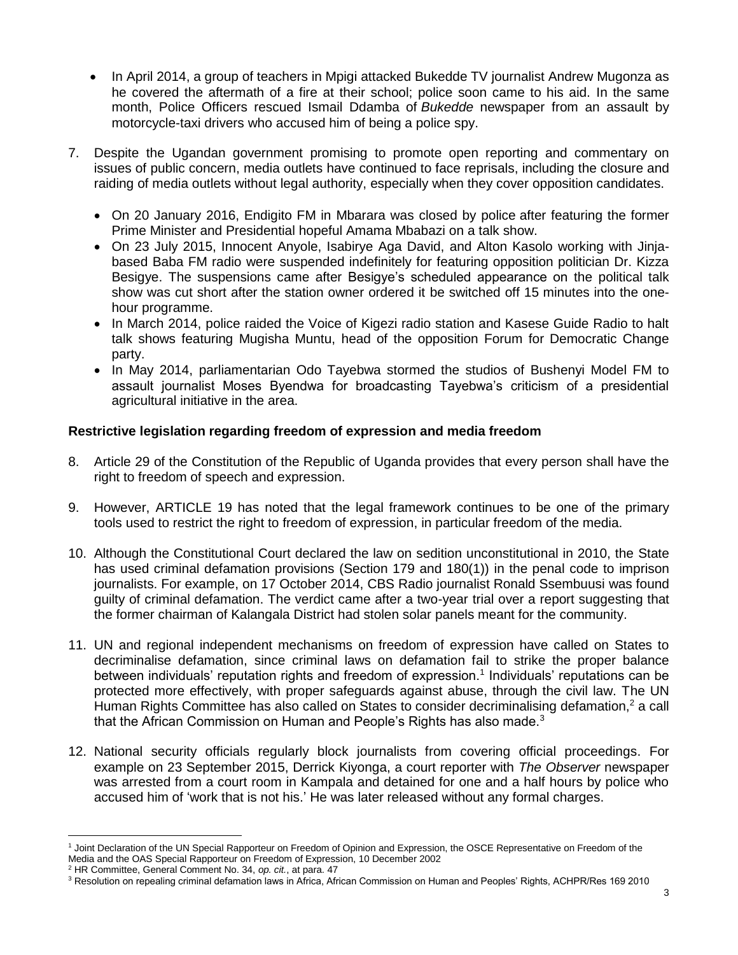- In April 2014, a group of teachers in Mpigi attacked Bukedde TV journalist Andrew Mugonza as he covered the aftermath of a fire at their school; police soon came to his aid. In the same month, Police Officers rescued Ismail Ddamba of *Bukedde* newspaper from an assault by motorcycle-taxi drivers who accused him of being a police spy.
- 7. Despite the Ugandan government promising to promote open reporting and commentary on issues of public concern, media outlets have continued to face reprisals, including the closure and raiding of media outlets without legal authority, especially when they cover opposition candidates.
	- On 20 January 2016, Endigito FM in Mbarara was closed by police after featuring the former Prime Minister and Presidential hopeful Amama Mbabazi on a talk show.
	- On 23 July 2015, Innocent Anyole, Isabirye Aga David, and Alton Kasolo working with Jinjabased Baba FM radio were suspended indefinitely for featuring opposition politician Dr. Kizza Besigye. The suspensions came after Besigye's scheduled appearance on the political talk show was cut short after the station owner ordered it be switched off 15 minutes into the onehour programme.
	- In March 2014, police raided the Voice of Kigezi radio station and Kasese Guide Radio to halt talk shows featuring Mugisha Muntu, head of the opposition Forum for Democratic Change party.
	- In May 2014, parliamentarian Odo Tayebwa stormed the studios of Bushenyi Model FM to assault journalist Moses Byendwa for broadcasting Tayebwa's criticism of a presidential agricultural initiative in the area.

# **Restrictive legislation regarding freedom of expression and media freedom**

- 8. Article 29 of the Constitution of the Republic of Uganda provides that every person shall have the right to freedom of speech and expression.
- 9. However, ARTICLE 19 has noted that the legal framework continues to be one of the primary tools used to restrict the right to freedom of expression, in particular freedom of the media.
- 10. Although the Constitutional Court declared the law on sedition unconstitutional in 2010, the State has used criminal defamation provisions (Section 179 and 180(1)) in the penal code to imprison journalists. For example, on 17 October 2014, CBS Radio journalist Ronald Ssembuusi was found guilty of criminal defamation. The verdict came after a two-year trial over a report suggesting that the former chairman of Kalangala District had stolen solar panels meant for the community.
- 11. UN and regional independent mechanisms on freedom of expression have called on States to decriminalise defamation, since criminal laws on defamation fail to strike the proper balance between individuals' reputation rights and freedom of expression.<sup>1</sup> Individuals' reputations can be protected more effectively, with proper safeguards against abuse, through the civil law. The UN Human Rights Committee has also called on States to consider decriminalising defamation,<sup>2</sup> a call that the African Commission on Human and People's Rights has also made.<sup>3</sup>
- 12. National security officials regularly block journalists from covering official proceedings. For example on 23 September 2015, Derrick Kiyonga, a court reporter with *The Observer* newspaper was arrested from a court room in Kampala and detained for one and a half hours by police who accused him of 'work that is not his.' He was later released without any formal charges.

 $\overline{a}$ <sup>1</sup> Joint Declaration of the UN Special Rapporteur on Freedom of Opinion and Expression, the OSCE Representative on Freedom of the Media and the OAS Special Rapporteur on Freedom of Expression, 10 December 2002

<sup>2</sup> HR Committee, General Comment No. 34, *op. cit.*, at para. 47

<sup>&</sup>lt;sup>3</sup> Resolution on repealing criminal defamation laws in Africa, African Commission on Human and Peoples' Rights, ACHPR/Res 169 2010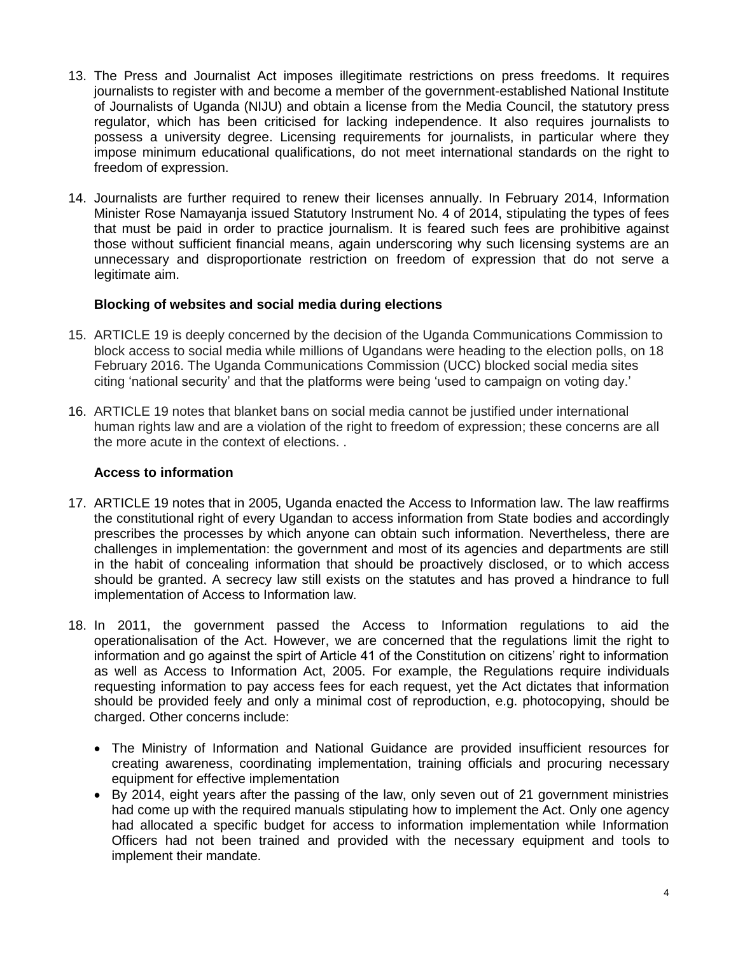- 13. The Press and Journalist Act imposes illegitimate restrictions on press freedoms. It requires journalists to register with and become a member of the government-established National Institute of Journalists of Uganda (NIJU) and obtain a license from the Media Council, the statutory press regulator, which has been criticised for lacking independence. It also requires journalists to possess a university degree. Licensing requirements for journalists, in particular where they impose minimum educational qualifications, do not meet international standards on the right to freedom of expression.
- 14. Journalists are further required to renew their licenses annually. In February 2014, Information Minister Rose Namayanja issued Statutory Instrument No. 4 of 2014, stipulating the types of fees that must be paid in order to practice journalism. It is feared such fees are prohibitive against those without sufficient financial means, again underscoring why such licensing systems are an unnecessary and disproportionate restriction on freedom of expression that do not serve a legitimate aim.

#### **Blocking of websites and social media during elections**

- 15. ARTICLE 19 is deeply concerned by the decision of the Uganda Communications Commission to block access to social media while millions of Ugandans were heading to the election polls, on 18 February 2016. The Uganda Communications Commission (UCC) blocked social media sites citing 'national security' and that the platforms were being 'used to campaign on voting day.'
- 16. ARTICLE 19 notes that blanket bans on social media cannot be justified under international human rights law and are a violation of the right to freedom of expression; these concerns are all the more acute in the context of elections. .

#### **Access to information**

- 17. ARTICLE 19 notes that in 2005, Uganda enacted the Access to Information law. The law reaffirms the constitutional right of every Ugandan to access information from State bodies and accordingly prescribes the processes by which anyone can obtain such information. Nevertheless, there are challenges in implementation: the government and most of its agencies and departments are still in the habit of concealing information that should be proactively disclosed, or to which access should be granted. A secrecy law still exists on the statutes and has proved a hindrance to full implementation of Access to Information law.
- 18. In 2011, the government passed the Access to Information regulations to aid the operationalisation of the Act. However, we are concerned that the regulations limit the right to information and go against the spirt of Article 41 of the Constitution on citizens' right to information as well as Access to Information Act, 2005. For example, the Regulations require individuals requesting information to pay access fees for each request, yet the Act dictates that information should be provided feely and only a minimal cost of reproduction, e.g. photocopying, should be charged. Other concerns include:
	- The Ministry of Information and National Guidance are provided insufficient resources for creating awareness, coordinating implementation, training officials and procuring necessary equipment for effective implementation
	- By 2014, eight years after the passing of the law, only seven out of 21 government ministries had come up with the required manuals stipulating how to implement the Act. Only one agency had allocated a specific budget for access to information implementation while Information Officers had not been trained and provided with the necessary equipment and tools to implement their mandate.